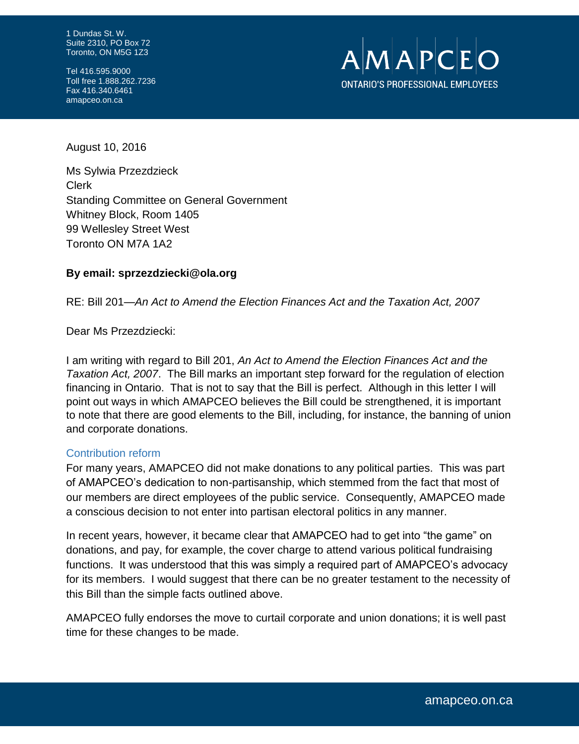1 Dundas St. W. Suite 2310, PO Box 72 Toronto, ON M5G 1Z3

Tel 416.595.9000 Toll free 1.888.262.7236 Fax 416.340.6461 amapceo.on.ca



August 10, 2016

Ms Sylwia Przezdzieck Clerk Standing Committee on General Government Whitney Block, Room 1405 99 Wellesley Street West Toronto ON M7A 1A2

## **By email: sprzezdziecki@ola.org**

RE: Bill 201—*An Act to Amend the Election Finances Act and the Taxation Act, 2007*

Dear Ms Przezdziecki:

I am writing with regard to Bill 201, *An Act to Amend the Election Finances Act and the Taxation Act, 2007*. The Bill marks an important step forward for the regulation of election financing in Ontario. That is not to say that the Bill is perfect. Although in this letter I will point out ways in which AMAPCEO believes the Bill could be strengthened, it is important to note that there are good elements to the Bill, including, for instance, the banning of union and corporate donations.

#### Contribution reform

For many years, AMAPCEO did not make donations to any political parties. This was part of AMAPCEO's dedication to non-partisanship, which stemmed from the fact that most of our members are direct employees of the public service. Consequently, AMAPCEO made a conscious decision to not enter into partisan electoral politics in any manner.

In recent years, however, it became clear that AMAPCEO had to get into "the game" on donations, and pay, for example, the cover charge to attend various political fundraising functions. It was understood that this was simply a required part of AMAPCEO's advocacy for its members. I would suggest that there can be no greater testament to the necessity of this Bill than the simple facts outlined above.

AMAPCEO fully endorses the move to curtail corporate and union donations; it is well past time for these changes to be made.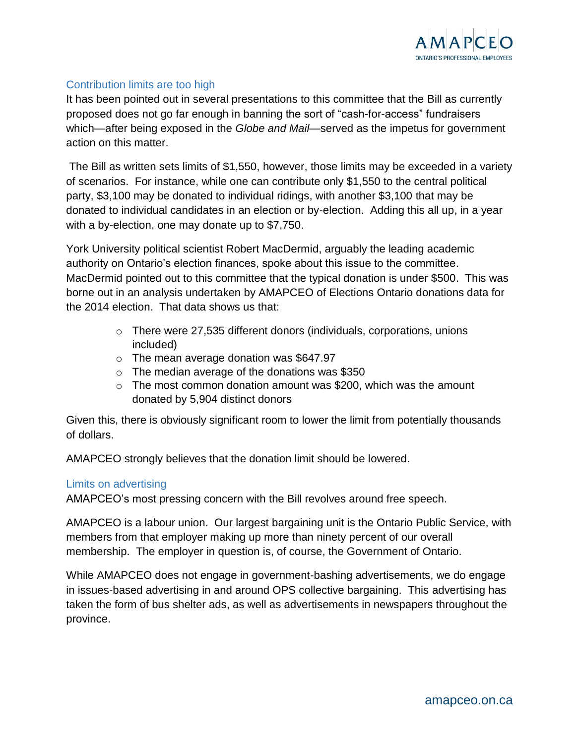

# Contribution limits are too high

It has been pointed out in several presentations to this committee that the Bill as currently proposed does not go far enough in banning the sort of "cash-for-access" fundraisers which—after being exposed in the *Globe and Mail*—served as the impetus for government action on this matter.

The Bill as written sets limits of \$1,550, however, those limits may be exceeded in a variety of scenarios. For instance, while one can contribute only \$1,550 to the central political party, \$3,100 may be donated to individual ridings, with another \$3,100 that may be donated to individual candidates in an election or by-election. Adding this all up, in a year with a by-election, one may donate up to \$7,750.

York University political scientist Robert MacDermid, arguably the leading academic authority on Ontario's election finances, spoke about this issue to the committee. MacDermid pointed out to this committee that the typical donation is under \$500. This was borne out in an analysis undertaken by AMAPCEO of Elections Ontario donations data for the 2014 election. That data shows us that:

- o There were 27,535 different donors (individuals, corporations, unions included)
- $\circ$  The mean average donation was \$647.97
- o The median average of the donations was \$350
- $\circ$  The most common donation amount was \$200, which was the amount donated by 5,904 distinct donors

Given this, there is obviously significant room to lower the limit from potentially thousands of dollars.

AMAPCEO strongly believes that the donation limit should be lowered.

## Limits on advertising

AMAPCEO's most pressing concern with the Bill revolves around free speech.

AMAPCEO is a labour union. Our largest bargaining unit is the Ontario Public Service, with members from that employer making up more than ninety percent of our overall membership. The employer in question is, of course, the Government of Ontario.

While AMAPCEO does not engage in government-bashing advertisements, we do engage in issues-based advertising in and around OPS collective bargaining. This advertising has taken the form of bus shelter ads, as well as advertisements in newspapers throughout the province.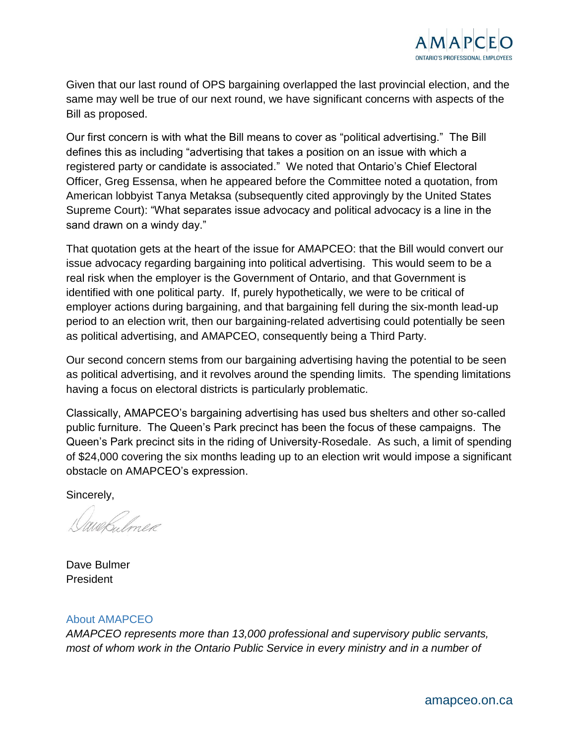

Given that our last round of OPS bargaining overlapped the last provincial election, and the same may well be true of our next round, we have significant concerns with aspects of the Bill as proposed.

Our first concern is with what the Bill means to cover as "political advertising." The Bill defines this as including "advertising that takes a position on an issue with which a registered party or candidate is associated." We noted that Ontario's Chief Electoral Officer, Greg Essensa, when he appeared before the Committee noted a quotation, from American lobbyist Tanya Metaksa (subsequently cited approvingly by the United States Supreme Court): "What separates issue advocacy and political advocacy is a line in the sand drawn on a windy day."

That quotation gets at the heart of the issue for AMAPCEO: that the Bill would convert our issue advocacy regarding bargaining into political advertising. This would seem to be a real risk when the employer is the Government of Ontario, and that Government is identified with one political party. If, purely hypothetically, we were to be critical of employer actions during bargaining, and that bargaining fell during the six-month lead-up period to an election writ, then our bargaining-related advertising could potentially be seen as political advertising, and AMAPCEO, consequently being a Third Party.

Our second concern stems from our bargaining advertising having the potential to be seen as political advertising, and it revolves around the spending limits. The spending limitations having a focus on electoral districts is particularly problematic.

Classically, AMAPCEO's bargaining advertising has used bus shelters and other so-called public furniture. The Queen's Park precinct has been the focus of these campaigns. The Queen's Park precinct sits in the riding of University-Rosedale. As such, a limit of spending of \$24,000 covering the six months leading up to an election writ would impose a significant obstacle on AMAPCEO's expression.

Sincerely,

Webulmer

Dave Bulmer President

## About AMAPCEO

*AMAPCEO represents more than 13,000 professional and supervisory public servants, most of whom work in the Ontario Public Service in every ministry and in a number of*